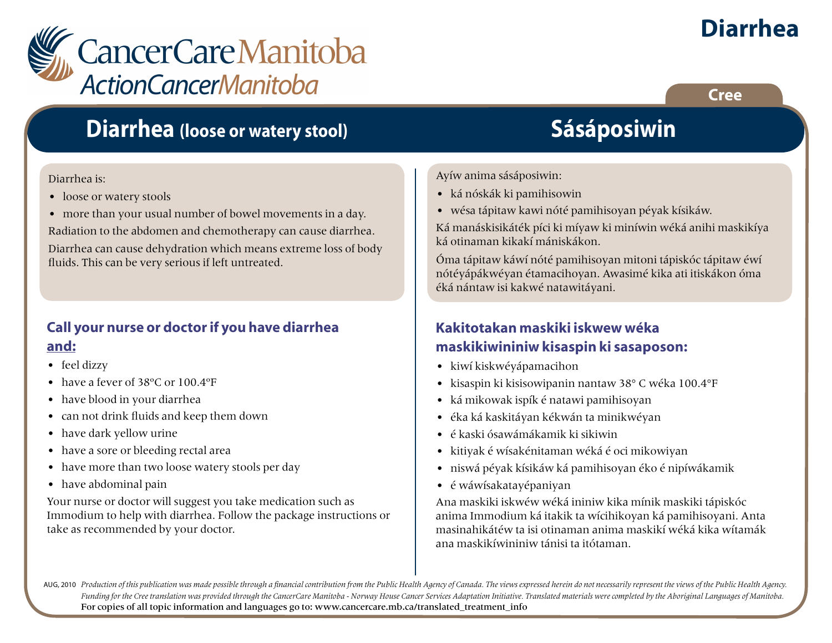

### **Diarrhea (loose or watery stool)**

#### Diarrhea is:

- loose or watery stools
- more than your usual number of bowel movements in a day.

Radiation to the abdomen and chemotherapy can cause diarrhea.

Diarrhea can cause dehydration which means extreme loss of body fluids. This can be very serious if left untreated.

### **Call your nurse or doctor if you have diarrhea and:**

- feel dizzy
- have a fever of 38ºC or 100.4ºF
- have blood in your diarrhea
- can not drink fluids and keep them down
- have dark yellow urine
- have a sore or bleeding rectal area
- have more than two loose watery stools per day
- have abdominal pain

Your nurse or doctor will suggest you take medication such as Immodium to help with diarrhea. Follow the package instructions or take as recommended by your doctor.

# **Sásáposiwin**

Ayíw anima sásáposiwin:

- ká nóskák ki pamihisowin
- wésa tápitaw kawi nóté pamihisoyan péyak kísikáw.

Ká manáskisikáték píci ki míyaw ki miníwin wéká anihi maskikíya ká otinaman kikakí mániskákon.

Óma tápitaw káwí nóté pamihisoyan mitoni tápiskóc tápitaw éwí nótéyápákwéyan étamacihoyan. Awasimé kika ati itiskákon óma éká nántaw isi kakwé natawitáyani.

### **Kakitotakan maskiki iskwew wéka maskikiwininiw kisaspin ki sasaposon:**

- kiwí kiskwéyápamacihon
- kisaspin ki kisisowipanin nantaw 38° C wéka 100.4°F
- ká mikowak ispík é natawi pamihisoyan
- éka ká kaskitáyan kékwán ta minikwéyan
- é kaski ósawámákamik ki sikiwin
- kitiyak é wísakénitaman wéká é oci mikowiyan
- niswá péyak kísikáw ká pamihisoyan éko é nipíwákamik
- é wáwísakatayépaniyan

Ana maskiki iskwéw wéká ininiw kika mínik maskiki tápiskóc anima Immodium ká itakik ta wícihikoyan ká pamihisoyani. Anta masinahikátéw ta isi otinaman anima maskikí wéká kika wítamák ana maskikíwininiw tánisi ta itótaman.

AUG, 2010 Production of this publication was made possible through a financial contribution from the Public Health Agency of Canada. The views expressed herein do not necessarily represent the views of the Public Health Ag *Funding for the Cree translation was provided through the CancerCare Manitoba - Norway House Cancer Services Adaptation Initiative. Translated materials were completed by the Aboriginal Languages of Manitoba.* For copies of all topic information and languages go to: www.cancercare.mb.ca/translated\_treatment\_info

# **Diarrhea**

**Cree**